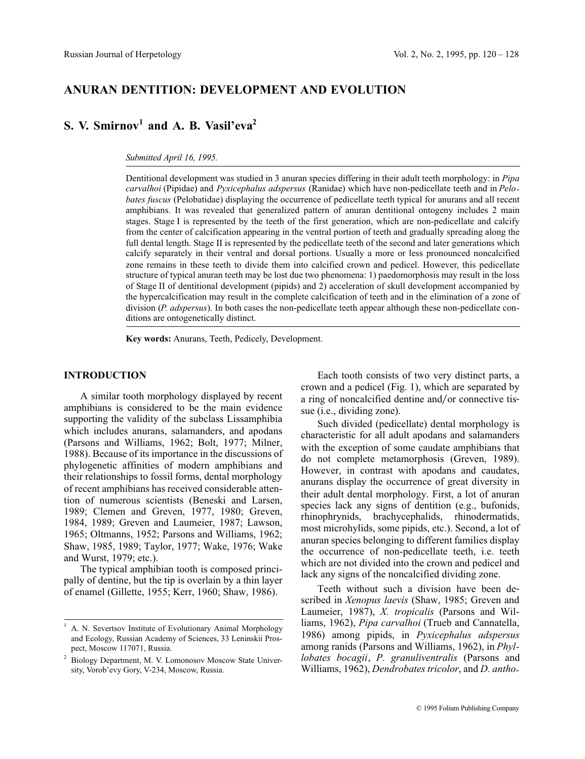# **ANURAN DENTITION: DEVELOPMENT AND EVOLUTION**

# **S. V. Smirnov<sup>1</sup> and A. B. Vasil'eva2**

#### *Submitted April 16, 1995.*

Dentitional development was studied in 3 anuran species differing in their adult teeth morphology: in *Pipa carvalhoi* (Pipidae) and *Pyxicephalus adspersus* (Ranidae) which have non-pedicellate teeth and in *Pelobates fuscus* (Pelobatidae) displaying the occurrence of pedicellate teeth typical for anurans and all recent amphibians. It was revealed that generalized pattern of anuran dentitional ontogeny includes 2 main stages. Stage I is represented by the teeth of the first generation, which are non-pedicellate and calcify from the center of calcification appearing in the ventral portion of teeth and gradually spreading along the full dental length. Stage II is represented by the pedicellate teeth of the second and later generations which calcify separately in their ventral and dorsal portions. Usually a more or less pronounced noncalcified zone remains in these teeth to divide them into calcified crown and pedicel. However, this pedicellate structure of typical anuran teeth may be lost due two phenomena: 1) paedomorphosis may result in the loss of Stage II of dentitional development (pipids) and 2) acceleration of skull development accompanied by the hypercalcification may result in the complete calcification of teeth and in the elimination of a zone of division (*P. adspersus*). In both cases the non-pedicellate teeth appear although these non-pedicellate conditions are ontogenetically distinct.

**Key words:** Anurans, Teeth, Pedicely, Development.

# **INTRODUCTION**

A similar tooth morphology displayed by recent amphibians is considered to be the main evidence supporting the validity of the subclass Lissamphibia which includes anurans, salamanders, and apodans (Parsons and Williams, 1962; Bolt, 1977; Milner, 1988). Because of its importance in the discussions of phylogenetic affinities of modern amphibians and their relationships to fossil forms, dental morphology of recent amphibians has received considerable attention of numerous scientists (Beneski and Larsen, 1989; Clemen and Greven, 1977, 1980; Greven, 1984, 1989; Greven and Laumeier, 1987; Lawson, 1965; Oltmanns, 1952; Parsons and Williams, 1962; Shaw, 1985, 1989; Taylor, 1977; Wake, 1976; Wake and Wurst, 1979; etc.).

The typical amphibian tooth is composed principally of dentine, but the tip is overlain by a thin layer of enamel (Gillette, 1955; Kerr, 1960; Shaw, 1986).

Each tooth consists of two very distinct parts, a crown and a pedicel (Fig. 1), which are separated by a ring of noncalcified dentine and/or connective tissue (i.e., dividing zone).

Such divided (pedicellate) dental morphology is characteristic for all adult apodans and salamanders with the exception of some caudate amphibians that do not complete metamorphosis (Greven, 1989). However, in contrast with apodans and caudates, anurans display the occurrence of great diversity in their adult dental morphology. First, a lot of anuran species lack any signs of dentition (e.g., bufonids, rhinophrynids, brachycephalids, rhinodermatids, most microhylids, some pipids, etc.). Second, a lot of anuran species belonging to different families display the occurrence of non-pedicellate teeth, i.e. teeth which are not divided into the crown and pedicel and lack any signs of the noncalcified dividing zone.

Teeth without such a division have been described in *Xenopus laevis* (Shaw, 1985; Greven and Laumeier, 1987), *X. tropicalis* (Parsons and Williams, 1962), *Pipa carvalhoi* (Trueb and Cannatella, 1986) among pipids, in *Pyxicephalus adspersus* among ranids (Parsons and Williams, 1962), in *Phyllobates bocagii*, *P. granuliventralis* (Parsons and Williams, 1962), *Dendrobates tricolor*, and *D. antho-*

<sup>1</sup> A. N. Severtsov Institute of Evolutionary Animal Morphology and Ecology, Russian Academy of Sciences, 33 Leninskii Prospect, Moscow 117071, Russia.

<sup>2</sup> Biology Department, M. V. Lomonosov Moscow State University, Vorob'evy Gory, V-234, Moscow, Russia.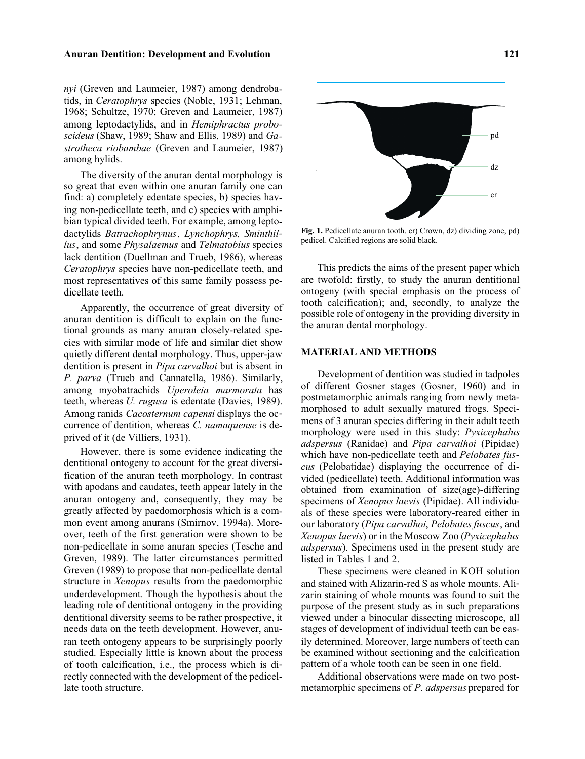# **Anuran Dentition: Development and Evolution 121**

*nyi* (Greven and Laumeier, 1987) among dendrobatids, in *Ceratophrys* species (Noble, 1931; Lehman, 1968; Schultze, 1970; Greven and Laumeier, 1987) among leptodactylids, and in *Hemiphractus proboscideus* (Shaw, 1989; Shaw and Ellis, 1989) and *Gastrotheca riobambae* (Greven and Laumeier, 1987) among hylids.

The diversity of the anuran dental morphology is so great that even within one anuran family one can find: a) completely edentate species, b) species having non-pedicellate teeth, and c) species with amphibian typical divided teeth. For example, among leptodactylids *Batrachophrynus*, *Lynchophrys*, *Sminthillus*, and some *Physalaemus* and *Telmatobius* species lack dentition (Duellman and Trueb, 1986), whereas *Ceratophrys* species have non-pedicellate teeth, and most representatives of this same family possess pedicellate teeth.

Apparently, the occurrence of great diversity of anuran dentition is difficult to explain on the functional grounds as many anuran closely-related species with similar mode of life and similar diet show quietly different dental morphology. Thus, upper-jaw dentition is present in *Pipa carvalhoi* but is absent in *P. parva* (Trueb and Cannatella, 1986). Similarly, among myobatrachids *Uperoleia marmorata* has teeth, whereas *U. rugusa* is edentate (Davies, 1989). Among ranids *Cacosternum capensi* displays the occurrence of dentition, whereas *C. namaquense* is deprived of it (de Villiers, 1931).

However, there is some evidence indicating the dentitional ontogeny to account for the great diversification of the anuran teeth morphology. In contrast with apodans and caudates, teeth appear lately in the anuran ontogeny and, consequently, they may be greatly affected by paedomorphosis which is a common event among anurans (Smirnov, 1994a). Moreover, teeth of the first generation were shown to be non-pedicellate in some anuran species (Tesche and Greven, 1989). The latter circumstances permitted Greven (1989) to propose that non-pedicellate dental structure in *Xenopus* results from the paedomorphic underdevelopment. Though the hypothesis about the leading role of dentitional ontogeny in the providing dentitional diversity seems to be rather prospective, it needs data on the teeth development. However, anuran teeth ontogeny appears to be surprisingly poorly studied. Especially little is known about the process of tooth calcification, i.e., the process which is directly connected with the development of the pedicellate tooth structure.



**Fig. 1.** Pedicellate anuran tooth. cr) Crown, dz) dividing zone, pd) pedicel. Calcified regions are solid black.

This predicts the aims of the present paper which are twofold: firstly, to study the anuran dentitional ontogeny (with special emphasis on the process of tooth calcification); and, secondly, to analyze the possible role of ontogeny in the providing diversity in the anuran dental morphology.

# **MATERIAL AND METHODS**

Development of dentition was studied in tadpoles of different Gosner stages (Gosner, 1960) and in postmetamorphic animals ranging from newly metamorphosed to adult sexually matured frogs. Specimens of 3 anuran species differing in their adult teeth morphology were used in this study: *Pyxicephalus adspersus* (Ranidae) and *Pipa carvalhoi* (Pipidae) which have non-pedicellate teeth and *Pelobates fuscus* (Pelobatidae) displaying the occurrence of divided (pedicellate) teeth. Additional information was obtained from examination of size(age)-differing specimens of *Xenopus laevis* (Pipidae). All individuals of these species were laboratory-reared either in our laboratory (*Pipa carvalhoi*, *Pelobates fuscus*, and *Xenopus laevis*) or in the Moscow Zoo (*Pyxicephalus adspersus*). Specimens used in the present study are listed in Tables 1 and 2.

These specimens were cleaned in KOH solution and stained with Alizarin-red S as whole mounts. Alizarin staining of whole mounts was found to suit the purpose of the present study as in such preparations viewed under a binocular dissecting microscope, all stages of development of individual teeth can be easily determined. Moreover, large numbers of teeth can be examined without sectioning and the calcification pattern of a whole tooth can be seen in one field.

Additional observations were made on two postmetamorphic specimens of *P. adspersus* prepared for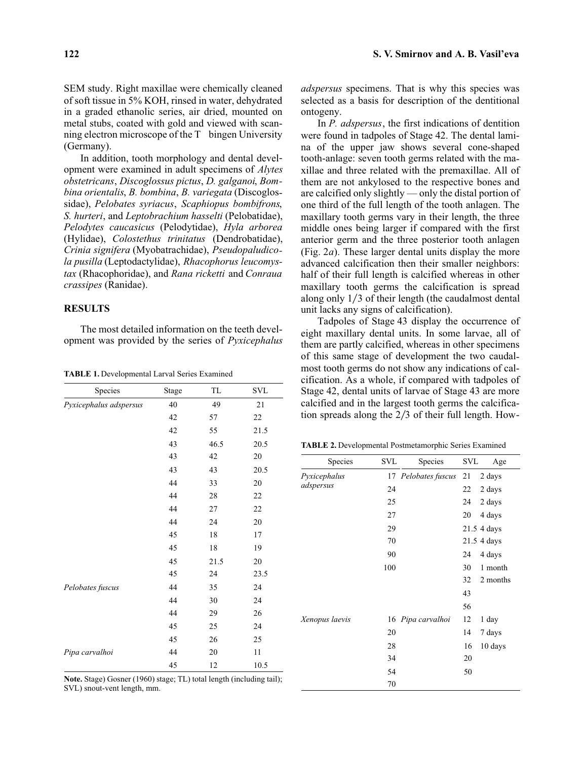SEM study. Right maxillae were chemically cleaned of soft tissue in 5% KOH, rinsed in water, dehydrated in a graded ethanolic series, air dried, mounted on metal stubs, coated with gold and viewed with scanning electron microscope of the TGbingen University (Germany).

In addition, tooth morphology and dental development were examined in adult specimens of *Alytes obstetricans*, *Discoglossus pictus*, *D. galganoi*, *Bombina orientalis*, *B. bombina*, *B. variegata* (Discoglossidae), *Pelobates syriacus*, *Scaphiopus bombifrons*, *S. hurteri*, and *Leptobrachium hasselti* (Pelobatidae), *Pelodytes caucasicus* (Pelodytidae), *Hyla arborea* (Hylidae), *Colostethus trinitatus* (Dendrobatidae), *Crinia signifera* (Myobatrachidae), *Pseudopaludicola pusilla* (Leptodactylidae), *Rhacophorus leucomystax* (Rhacophoridae), and *Rana ricketti* and *Conraua crassipes* (Ranidae).

# **RESULTS**

The most detailed information on the teeth development was provided by the series of *Pyxicephalus*

| Species                | Stage | TL   | <b>SVL</b> |
|------------------------|-------|------|------------|
| Pyxicephalus adspersus | 40    | 49   | 21         |
|                        | 42    | 57   | 22         |
|                        | 42    | 55   | 21.5       |
|                        | 43    | 46.5 | 20.5       |
|                        | 43    | 42   | $20\,$     |
|                        | 43    | 43   | 20.5       |
|                        | 44    | 33   | 20         |
|                        | 44    | 28   | 22         |
|                        | 44    | 27   | 22         |
|                        | 44    | 24   | 20         |
|                        | 45    | 18   | 17         |
|                        | 45    | 18   | 19         |
|                        | 45    | 21.5 | 20         |
|                        | 45    | 24   | 23.5       |
| Pelobates fuscus       | 44    | 35   | 24         |
|                        | 44    | 30   | 24         |
|                        | 44    | 29   | 26         |
|                        | 45    | 25   | 24         |
|                        | 45    | 26   | 25         |
| Pipa carvalhoi         | 44    | 20   | 11         |
|                        | 45    | 12   | 10.5       |

**TABLE 1.** Developmental Larval Series Examined

**Note.** Stage) Gosner (1960) stage; TL) total length (including tail); SVL) snout-vent length, mm.

*adspersus* specimens. That is why this species was selected as a basis for description of the dentitional ontogeny.

In *P. adspersus*, the first indications of dentition were found in tadpoles of Stage 42. The dental lamina of the upper jaw shows several cone-shaped tooth-anlage: seven tooth germs related with the maxillae and three related with the premaxillae. All of them are not ankylosed to the respective bones and are calcified only slightly — only the distal portion of one third of the full length of the tooth anlagen. The maxillary tooth germs vary in their length, the three middle ones being larger if compared with the first anterior germ and the three posterior tooth anlagen (Fig. 2*a*). These larger dental units display the more advanced calcification then their smaller neighbors: half of their full length is calcified whereas in other maxillary tooth germs the calcification is spread along only  $1/3$  of their length (the caudalmost dental unit lacks any signs of calcification).

Tadpoles of Stage 43 display the occurrence of eight maxillary dental units. In some larvae, all of them are partly calcified, whereas in other specimens of this same stage of development the two caudalmost tooth germs do not show any indications of calcification. As a whole, if compared with tadpoles of Stage 42, dental units of larvae of Stage 43 are more calcified and in the largest tooth germs the calcification spreads along the  $2/3$  of their full length. How-

**TABLE 2.** Developmental Postmetamorphic Series Examined

| Species                   | <b>SVL</b> | Species             | <b>SVL</b> | Age         |
|---------------------------|------------|---------------------|------------|-------------|
| Pyxicephalus<br>adspersus |            | 17 Pelobates fuscus | 21         | 2 days      |
|                           | 24         |                     | 22         | 2 days      |
|                           | 25         |                     | 24         | 2 days      |
|                           | 27         |                     | 20         | 4 days      |
|                           | 29         |                     |            | 21.5 4 days |
|                           | 70         |                     |            | 21.5 4 days |
|                           | 90         |                     | 24         | 4 days      |
|                           | 100        |                     | 30         | 1 month     |
|                           |            |                     | 32         | 2 months    |
|                           |            |                     | 43         |             |
|                           |            |                     | 56         |             |
| Xenopus laevis            |            | 16 Pipa carvalhoi   | 12         | 1 day       |
|                           | 20         |                     | 14         | 7 days      |
|                           | 28         |                     | 16         | 10 days     |
|                           | 34         |                     | 20         |             |
|                           | 54         |                     | 50         |             |
|                           | 70         |                     |            |             |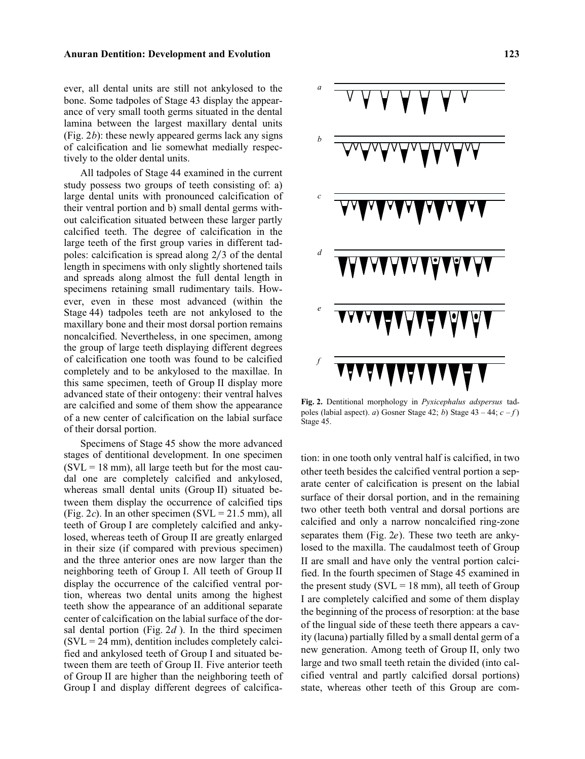### **Anuran Dentition: Development and Evolution 123**

ever, all dental units are still not ankylosed to the bone. Some tadpoles of Stage 43 display the appearance of very small tooth germs situated in the dental lamina between the largest maxillary dental units (Fig. 2*b*): these newly appeared germs lack any signs of calcification and lie somewhat medially respectively to the older dental units.

All tadpoles of Stage 44 examined in the current study possess two groups of teeth consisting of: a) large dental units with pronounced calcification of their ventral portion and b) small dental germs without calcification situated between these larger partly calcified teeth. The degree of calcification in the large teeth of the first group varies in different tadpoles: calcification is spread along  $2/3$  of the dental length in specimens with only slightly shortened tails and spreads along almost the full dental length in specimens retaining small rudimentary tails. However, even in these most advanced (within the Stage 44) tadpoles teeth are not ankylosed to the maxillary bone and their most dorsal portion remains noncalcified. Nevertheless, in one specimen, among the group of large teeth displaying different degrees of calcification one tooth was found to be calcified completely and to be ankylosed to the maxillae. In this same specimen, teeth of Group II display more advanced state of their ontogeny: their ventral halves are calcified and some of them show the appearance of a new center of calcification on the labial surface of their dorsal portion.

Specimens of Stage 45 show the more advanced stages of dentitional development. In one specimen  $(SVL = 18$  mm), all large teeth but for the most caudal one are completely calcified and ankylosed, whereas small dental units (Group II) situated between them display the occurrence of calcified tips (Fig. 2*c*). In an other specimen (SVL =  $21.5$  mm), all teeth of Group I are completely calcified and ankylosed, whereas teeth of Group II are greatly enlarged in their size (if compared with previous specimen) and the three anterior ones are now larger than the neighboring teeth of Group I. All teeth of Group II display the occurrence of the calcified ventral portion, whereas two dental units among the highest teeth show the appearance of an additional separate center of calcification on the labial surface of the dorsal dental portion (Fig. 2*d* ). In the third specimen  $(SVL = 24$  mm), dentition includes completely calcified and ankylosed teeth of Group I and situated between them are teeth of Group II. Five anterior teeth of Group II are higher than the neighboring teeth of Group I and display different degrees of calcifica-



**Fig. 2.** Dentitional morphology in *Pyxicephalus adspersus* tadpoles (labial aspect). *a*) Gosner Stage 42; *b*) Stage 43 – 44;  $c - f$ ) Stage 45.

tion: in one tooth only ventral half is calcified, in two other teeth besides the calcified ventral portion a separate center of calcification is present on the labial surface of their dorsal portion, and in the remaining two other teeth both ventral and dorsal portions are calcified and only a narrow noncalcified ring-zone separates them (Fig. 2*e*). These two teeth are ankylosed to the maxilla. The caudalmost teeth of Group II are small and have only the ventral portion calcified. In the fourth specimen of Stage 45 examined in the present study ( $SVL = 18$  mm), all teeth of Group I are completely calcified and some of them display the beginning of the process of resorption: at the base of the lingual side of these teeth there appears a cavity (lacuna) partially filled by a small dental germ of a new generation. Among teeth of Group II, only two large and two small teeth retain the divided (into calcified ventral and partly calcified dorsal portions) state, whereas other teeth of this Group are com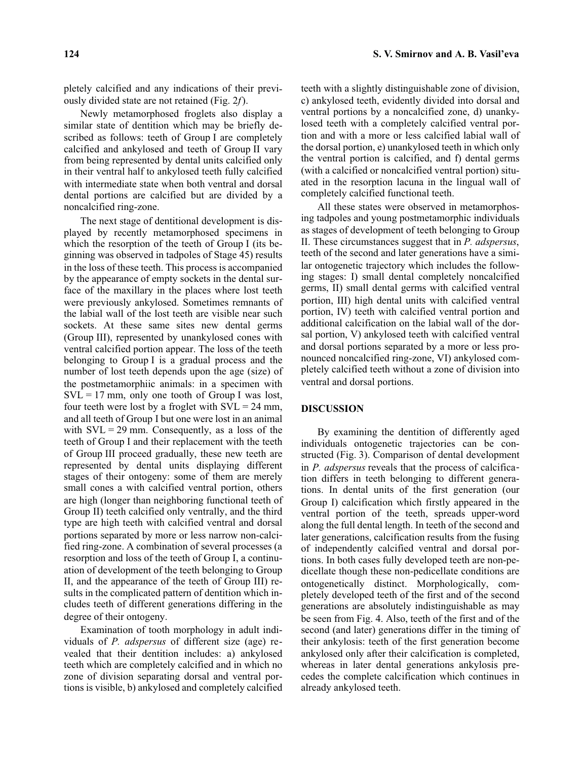pletely calcified and any indications of their previously divided state are not retained (Fig. 2*f*).

Newly metamorphosed froglets also display a similar state of dentition which may be briefly described as follows: teeth of Group I are completely calcified and ankylosed and teeth of Group II vary from being represented by dental units calcified only in their ventral half to ankylosed teeth fully calcified with intermediate state when both ventral and dorsal dental portions are calcified but are divided by a noncalcified ring-zone.

The next stage of dentitional development is displayed by recently metamorphosed specimens in which the resorption of the teeth of Group I (its beginning was observed in tadpoles of Stage 45) results in the loss of these teeth. This process is accompanied by the appearance of empty sockets in the dental surface of the maxillary in the places where lost teeth were previously ankylosed. Sometimes remnants of the labial wall of the lost teeth are visible near such sockets. At these same sites new dental germs (Group III), represented by unankylosed cones with ventral calcified portion appear. The loss of the teeth belonging to Group I is a gradual process and the number of lost teeth depends upon the age (size) of the postmetamorphiic animals: in a specimen with  $SVL = 17$  mm, only one tooth of Group I was lost, four teeth were lost by a froglet with  $SVL = 24$  mm, and all teeth of Group I but one were lost in an animal with  $SVL = 29$  mm. Consequently, as a loss of the teeth of Group I and their replacement with the teeth of Group III proceed gradually, these new teeth are represented by dental units displaying different stages of their ontogeny: some of them are merely small cones a with calcified ventral portion, others are high (longer than neighboring functional teeth of Group II) teeth calcified only ventrally, and the third type are high teeth with calcified ventral and dorsal portions separated by more or less narrow non-calcified ring-zone. A combination of several processes (a resorption and loss of the teeth of Group I, a continuation of development of the teeth belonging to Group II, and the appearance of the teeth of Group III) results in the complicated pattern of dentition which includes teeth of different generations differing in the degree of their ontogeny.

Examination of tooth morphology in adult individuals of *P. adspersus* of different size (age) revealed that their dentition includes: a) ankylosed teeth which are completely calcified and in which no zone of division separating dorsal and ventral portions is visible, b) ankylosed and completely calcified teeth with a slightly distinguishable zone of division, c) ankylosed teeth, evidently divided into dorsal and ventral portions by a noncalcified zone, d) unankylosed teeth with a completely calcified ventral portion and with a more or less calcified labial wall of the dorsal portion, e) unankylosed teeth in which only the ventral portion is calcified, and f) dental germs (with a calcified or noncalcified ventral portion) situated in the resorption lacuna in the lingual wall of completely calcified functional teeth.

All these states were observed in metamorphosing tadpoles and young postmetamorphic individuals as stages of development of teeth belonging to Group II. These circumstances suggest that in *P. adspersus*, teeth of the second and later generations have a similar ontogenetic trajectory which includes the following stages: I) small dental completely noncalcified germs, II) small dental germs with calcified ventral portion, III) high dental units with calcified ventral portion, IV) teeth with calcified ventral portion and additional calcification on the labial wall of the dorsal portion, V) ankylosed teeth with calcified ventral and dorsal portions separated by a more or less pronounced noncalcified ring-zone, VI) ankylosed completely calcified teeth without a zone of division into ventral and dorsal portions.

# **DISCUSSION**

By examining the dentition of differently aged individuals ontogenetic trajectories can be constructed (Fig. 3). Comparison of dental development in *P. adspersus* reveals that the process of calcification differs in teeth belonging to different generations. In dental units of the first generation (our Group I) calcification which firstly appeared in the ventral portion of the teeth, spreads upper-word along the full dental length. In teeth of the second and later generations, calcification results from the fusing of independently calcified ventral and dorsal portions. In both cases fully developed teeth are non-pedicellate though these non-pedicellate conditions are ontogenetically distinct. Morphologically, completely developed teeth of the first and of the second generations are absolutely indistinguishable as may be seen from Fig. 4. Also, teeth of the first and of the second (and later) generations differ in the timing of their ankylosis: teeth of the first generation become ankylosed only after their calcification is completed, whereas in later dental generations ankylosis precedes the complete calcification which continues in already ankylosed teeth.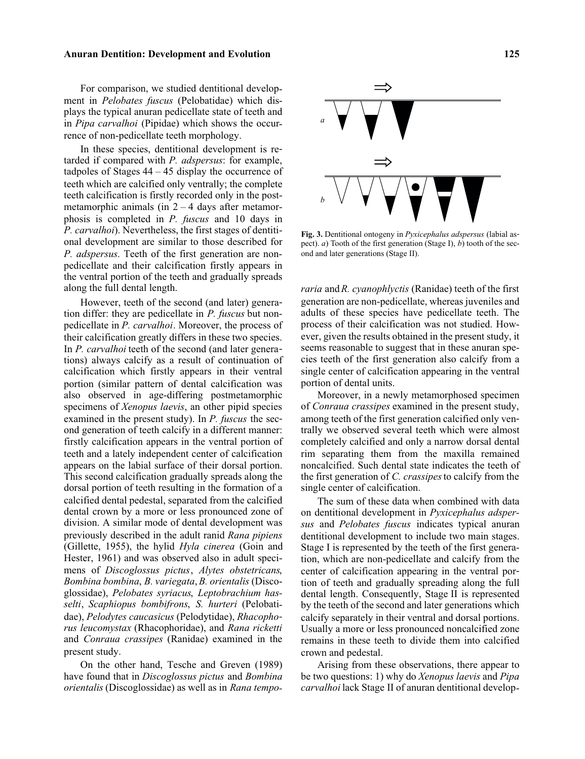### **Anuran Dentition: Development and Evolution 125**

For comparison, we studied dentitional development in *Pelobates fuscus* (Pelobatidae) which displays the typical anuran pedicellate state of teeth and in *Pipa carvalhoi* (Pipidae) which shows the occurrence of non-pedicellate teeth morphology.

In these species, dentitional development is retarded if compared with *P. adspersus*: for example, tadpoles of Stages  $44 - 45$  display the occurrence of teeth which are calcified only ventrally; the complete teeth calcification is firstly recorded only in the postmetamorphic animals (in  $2 - 4$  days after metamorphosis is completed in *P. fuscus* and 10 days in *P. carvalhoi*). Nevertheless, the first stages of dentitional development are similar to those described for *P. adspersus*. Teeth of the first generation are nonpedicellate and their calcification firstly appears in the ventral portion of the teeth and gradually spreads along the full dental length.

However, teeth of the second (and later) generation differ: they are pedicellate in *P. fuscus* but nonpedicellate in *P. carvalhoi*. Moreover, the process of their calcification greatly differs in these two species. In *P. carvalhoi* teeth of the second (and later generations) always calcify as a result of continuation of calcification which firstly appears in their ventral portion (similar pattern of dental calcification was also observed in age-differing postmetamorphic specimens of *Xenopus laevis*, an other pipid species examined in the present study). In *P. fuscus* the second generation of teeth calcify in a different manner: firstly calcification appears in the ventral portion of teeth and a lately independent center of calcification appears on the labial surface of their dorsal portion. This second calcification gradually spreads along the dorsal portion of teeth resulting in the formation of a calcified dental pedestal, separated from the calcified dental crown by a more or less pronounced zone of division. A similar mode of dental development was previously described in the adult ranid *Rana pipiens* (Gillette, 1955), the hylid *Hyla cinerea* (Goin and Hester, 1961) and was observed also in adult specimens of *Discoglossus pictus*, *Alytes obstetricans*, *Bombina bombina*, *B. variegata*,*B. orientalis* (Discoglossidae), *Pelobates syriacus*, *Leptobrachium hasselti*, *Scaphiopus bombifrons*, *S. hurteri* (Pelobatidae), *Pelodytes caucasicus* (Pelodytidae), *Rhacophorus leucomystax* (Rhacophoridae), and *Rana ricketti* and *Conraua crassipes* (Ranidae) examined in the present study.

On the other hand, Tesche and Greven (1989) have found that in *Discoglossus pictus* and *Bombina orientalis*(Discoglossidae) as well as in *Rana tempo-*



**Fig. 3.** Dentitional ontogeny in *Pyxicephalus adspersus* (labial aspect). *a*) Tooth of the first generation (Stage I), *b*) tooth of the second and later generations (Stage II).

*raria* and*R. cyanophlyctis* (Ranidae) teeth of the first generation are non-pedicellate, whereas juveniles and adults of these species have pedicellate teeth. The process of their calcification was not studied. However, given the results obtained in the present study, it seems reasonable to suggest that in these anuran species teeth of the first generation also calcify from a single center of calcification appearing in the ventral portion of dental units.

Moreover, in a newly metamorphosed specimen of *Conraua crassipes* examined in the present study, among teeth of the first generation calcified only ventrally we observed several teeth which were almost completely calcified and only a narrow dorsal dental rim separating them from the maxilla remained noncalcified. Such dental state indicates the teeth of the first generation of *C. crassipes*to calcify from the single center of calcification.

The sum of these data when combined with data on dentitional development in *Pyxicephalus adspersus* and *Pelobates fuscus* indicates typical anuran dentitional development to include two main stages. Stage I is represented by the teeth of the first generation, which are non-pedicellate and calcify from the center of calcification appearing in the ventral portion of teeth and gradually spreading along the full dental length. Consequently, Stage II is represented by the teeth of the second and later generations which calcify separately in their ventral and dorsal portions. Usually a more or less pronounced noncalcified zone remains in these teeth to divide them into calcified crown and pedestal.

Arising from these observations, there appear to be two questions: 1) why do *Xenopus laevis* and *Pipa carvalhoi* lack Stage II of anuran dentitional develop-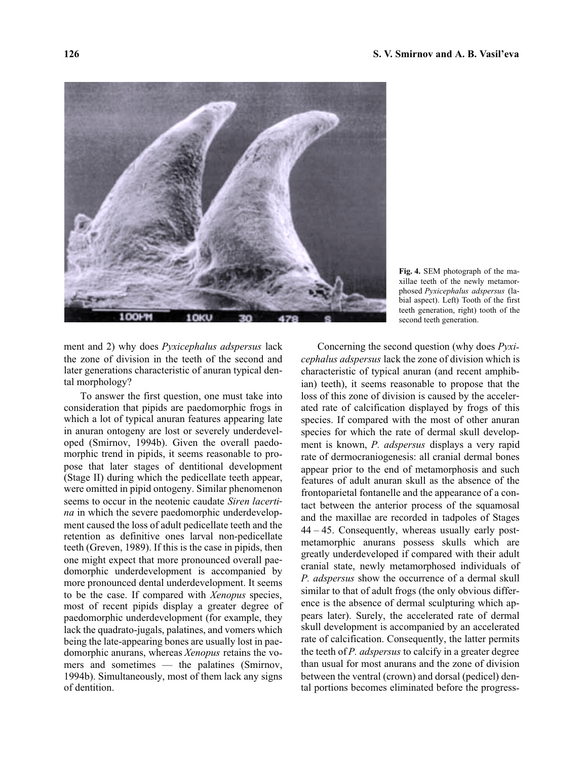

**Fig. 4.** SEM photograph of the maxillae teeth of the newly metamorphosed *Pyxicephalus adspersus* (labial aspect). Left) Tooth of the first teeth generation, right) tooth of the second teeth generation.

ment and 2) why does *Pyxicephalus adspersus* lack the zone of division in the teeth of the second and later generations characteristic of anuran typical dental morphology?

To answer the first question, one must take into consideration that pipids are paedomorphic frogs in which a lot of typical anuran features appearing late in anuran ontogeny are lost or severely underdeveloped (Smirnov, 1994b). Given the overall paedomorphic trend in pipids, it seems reasonable to propose that later stages of dentitional development (Stage II) during which the pedicellate teeth appear, were omitted in pipid ontogeny. Similar phenomenon seems to occur in the neotenic caudate *Siren lacertina* in which the severe paedomorphic underdevelopment caused the loss of adult pedicellate teeth and the retention as definitive ones larval non-pedicellate teeth (Greven, 1989). If this is the case in pipids, then one might expect that more pronounced overall paedomorphic underdevelopment is accompanied by more pronounced dental underdevelopment. It seems to be the case. If compared with *Xenopus* species, most of recent pipids display a greater degree of paedomorphic underdevelopment (for example, they lack the quadrato-jugals, palatines, and vomers which being the late-appearing bones are usually lost in paedomorphic anurans, whereas *Xenopus* retains the vomers and sometimes — the palatines (Smirnov, 1994b). Simultaneously, most of them lack any signs of dentition.

Concerning the second question (why does *Pyxicephalus adspersus* lack the zone of division which is characteristic of typical anuran (and recent amphibian) teeth), it seems reasonable to propose that the loss of this zone of division is caused by the accelerated rate of calcification displayed by frogs of this species. If compared with the most of other anuran species for which the rate of dermal skull development is known, *P. adspersus* displays a very rapid rate of dermocraniogenesis: all cranial dermal bones appear prior to the end of metamorphosis and such features of adult anuran skull as the absence of the frontoparietal fontanelle and the appearance of a contact between the anterior process of the squamosal and the maxillae are recorded in tadpoles of Stages 44 – 45. Consequently, whereas usually early postmetamorphic anurans possess skulls which are greatly underdeveloped if compared with their adult cranial state, newly metamorphosed individuals of *P. adspersus* show the occurrence of a dermal skull similar to that of adult frogs (the only obvious difference is the absence of dermal sculpturing which appears later). Surely, the accelerated rate of dermal skull development is accompanied by an accelerated rate of calcification. Consequently, the latter permits the teeth of *P. adspersus* to calcify in a greater degree than usual for most anurans and the zone of division between the ventral (crown) and dorsal (pedicel) dental portions becomes eliminated before the progress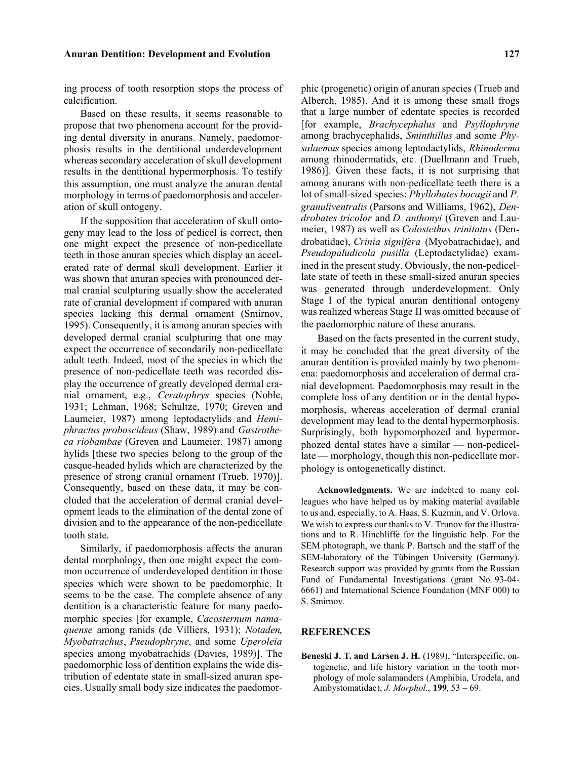ing process of tooth resorption stops the process of calcification.

Based on these results, it seems reasonable to propose that two phenomena account for the providing dental diversity in anurans. Namely, paedomorphosis results in the dentitional underdevelopment whereas secondary acceleration of skull development results in the dentitional hypermorphosis. To testify this assumption, one must analyze the anuran dental morphology in terms of paedomorphosis and acceleration of skull ontogeny.

If the supposition that acceleration of skull ontogeny may lead to the loss of pedicel is correct, then one might expect the presence of non-pedicellate teeth in those anuran species which display an accelerated rate of dermal skull development. Earlier it was shown that anuran species with pronounced dermal cranial sculpturing usually show the accelerated rate of cranial development if compared with anuran species lacking this dermal ornament (Smirnov, 1995). Consequently, it is among anuran species with developed dermal cranial sculpturing that one may expect the occurrence of secondarily non-pedicellate adult teeth. Indeed, most of the species in which the presence of non-pedicellate teeth was recorded display the occurrence of greatly developed dermal cranial ornament, e.g., *Ceratophrys* species (Noble, 1931; Lehman, 1968; Schultze, 1970; Greven and Laumeier, 1987) among leptodactylids and *Hemiphractus proboscideus* (Shaw, 1989) and *Gastrotheca riobambae* (Greven and Laumeier, 1987) among hylids [these two species belong to the group of the casque-headed hylids which are characterized by the presence of strong cranial ornament (Trueb, 1970)]. Consequently, based on these data, it may be concluded that the acceleration of dermal cranial development leads to the elimination of the dental zone of division and to the appearance of the non-pedicellate tooth state.

Similarly, if paedomorphosis affects the anuran dental morphology, then one might expect the common occurrence of underdeveloped dentition in those species which were shown to be paedomorphic. It seems to be the case. The complete absence of any dentition is a characteristic feature for many paedomorphic species [for example, *Cacosternum namaquense* among ranids (de Villiers, 1931); *Notaden*, *Myobatrachus*, *Pseudophryne*, and some *Uperoleia* species among myobatrachids (Davies, 1989)]. The paedomorphic loss of dentition explains the wide distribution of edentate state in small-sized anuran species. Usually small body size indicates the paedomorphic (progenetic) origin of anuran species (Trueb and Alberch, 1985). And it is among these small frogs that a large number of edentate species is recorded [for example, *Brachycephalus* and *Psyllophryne* among brachycephalids, *Sminthillus* and some *Physalaemus* species among leptodactylids, *Rhinoderma* among rhinodermatids, etc. (Duellmann and Trueb, 1986)]. Given these facts, it is not surprising that among anurans with non-pedicellate teeth there is a lot of small-sized species: *Phyllobates bocagii* and *P. granuliventralis* (Parsons and Williams, 1962), *Dendrobates tricolor* and *D. anthonyi* (Greven and Laumeier, 1987) as well as *Colostethus trinitatus* (Dendrobatidae), *Crinia signifera* (Myobatrachidae), and *Pseudopaludicola pusilla* (Leptodactylidae) examined in the present study. Obviously, the non-pedicellate state of teeth in these small-sized anuran species was generated through underdevelopment. Only Stage I of the typical anuran dentitional ontogeny was realized whereas Stage II was omitted because of the paedomorphic nature of these anurans.

Based on the facts presented in the current study, it may be concluded that the great diversity of the anuran dentition is provided mainly by two phenomena: paedomorphosis and acceleration of dermal cranial development. Paedomorphosis may result in the complete loss of any dentition or in the dental hypomorphosis, whereas acceleration of dermal cranial development may lead to the dental hypermorphosis. Surprisingly, both hypomorphozed and hypermorphozed dental states have a similar — non-pedicellate — morphology, though this non-pedicellate morphology is ontogenetically distinct.

**Acknowledgments.** We are indebted to many colleagues who have helped us by making material available to us and, especially, to A. Haas, S. Kuzmin, and V. Orlova. We wish to express our thanks to V. Trunov for the illustrations and to R. Hinchliffe for the linguistic help. For the SEM photograph, we thank P. Bartsch and the staff of the SEM-laboratory of the Tübingen University (Germany). Research support was provided by grants from the Russian Fund of Fundamental Investigations (grant No. 93-04- 6661) and International Science Foundation (MNF 000) to S. Smirnov.

# **REFERENCES**

**Beneski J. T. and Larsen J. H.** (1989), "Interspecific, ontogenetic, and life history variation in the tooth morphology of mole salamanders (Amphibia, Urodela, and Ambystomatidae), *J. Morphol.*, **199**, 53 – 69.